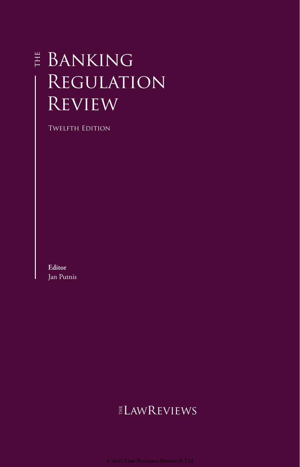# **E BANKING REGULATION REVIEW**

Twelfth Edition

**Editor** Jan Putnis

# **ELAWREVIEWS**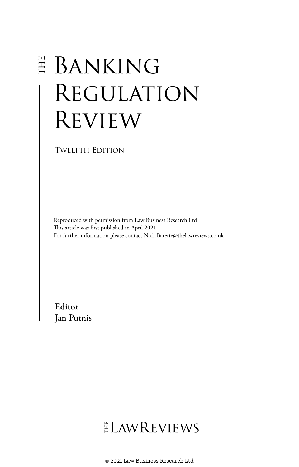# **E BANKING** Regulation **REVIEW**

Twelfth Edition

Reproduced with permission from Law Business Research Ltd This article was first published in April 2021 For further information please contact Nick.Barette@thelawreviews.co.uk

**Editor** Jan Putnis

ELAWREVIEWS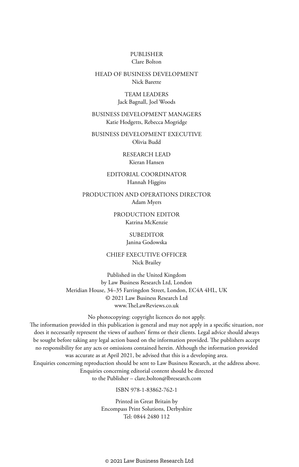#### PUBLISHER Clare Bolton

#### HEAD OF BUSINESS DEVELOPMENT Nick Barette

#### TEAM LEADERS Jack Bagnall, Joel Woods

#### BUSINESS DEVELOPMENT MANAGERS Katie Hodgetts, Rebecca Mogridge

BUSINESS DEVELOPMENT EXECUTIVE Olivia Budd

> RESEARCH LEAD Kieran Hansen

#### EDITORIAL COORDINATOR Hannah Higgins

PRODUCTION AND OPERATIONS DIRECTOR Adam Myers

> PRODUCTION EDITOR Katrina McKenzie

#### SUBEDITOR Janina Godowska

CHIEF EXECUTIVE OFFICER Nick Brailey

Published in the United Kingdom by Law Business Research Ltd, London Meridian House, 34–35 Farringdon Street, London, EC4A 4HL, UK © 2021 Law Business Research Ltd www.TheLawReviews.co.uk

No photocopying: copyright licences do not apply. The information provided in this publication is general and may not apply in a specific situation, nor does it necessarily represent the views of authors' firms or their clients. Legal advice should always be sought before taking any legal action based on the information provided. The publishers accept no responsibility for any acts or omissions contained herein. Although the information provided was accurate as at April 2021, be advised that this is a developing area. Enquiries concerning reproduction should be sent to Law Business Research, at the address above. Enquiries concerning editorial content should be directed to the Publisher – clare.bolton@lbresearch.com

#### ISBN 978-1-83862-762-1

Printed in Great Britain by Encompass Print Solutions, Derbyshire Tel: 0844 2480 112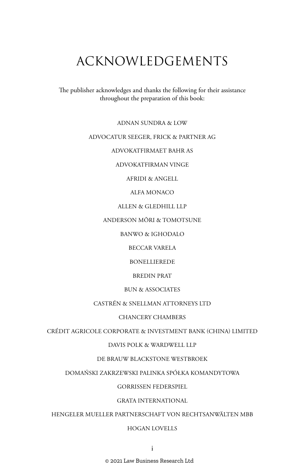## ACKNOWLEDGEMENTS

The publisher acknowledges and thanks the following for their assistance throughout the preparation of this book:

ADNAN SUNDRA & LOW

#### ADVOCATUR SEEGER, FRICK & PARTNER AG

ADVOKATFIRMAET BAHR AS

ADVOKATFIRMAN VINGE

AFRIDI & ANGELL

ALFA MONACO

ALLEN & GLEDHILL LLP

ANDERSON MŌRI & TOMOTSUNE

BANWO & IGHODALO

BECCAR VARELA

BONELLIEREDE

BREDIN PRAT

#### BUN & ASSOCIATES

#### CASTRÉN & SNELLMAN ATTORNEYS LTD

#### CHANCERY CHAMBERS

CRÉDIT AGRICOLE CORPORATE & INVESTMENT BANK (CHINA) LIMITED

#### DAVIS POLK & WARDWELL LLP

#### DE BRAUW BLACKSTONE WESTBROEK

#### DOMAŃSKI ZAKRZEWSKI PALINKA SPÓŁKA KOMANDYTOWA

#### GORRISSEN FEDERSPIEL

#### GRATA INTERNATIONAL

HENGELER MUELLER PARTNERSCHAFT VON RECHTSANWÄLTEN MBB

#### HOGAN LOVELLS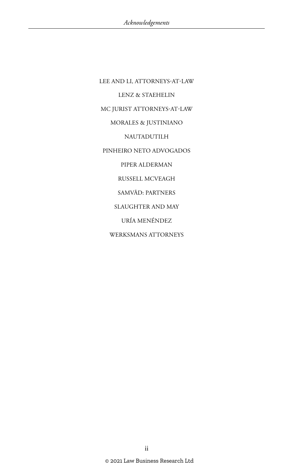LEE AND LI, ATTORNEYS-AT-LAW LENZ & STAEHELIN MC JURIST ATTORNEYS-AT-LAW MORALES & JUSTINIANO NAUTADUTILH PINHEIRO NETO ADVOGADOS PIPER ALDERMAN RUSSELL MCVEAGH SAMVĀD: PARTNERS SLAUGHTER AND MAY URÍA MENÉNDEZ WERKSMANS ATTORNEYS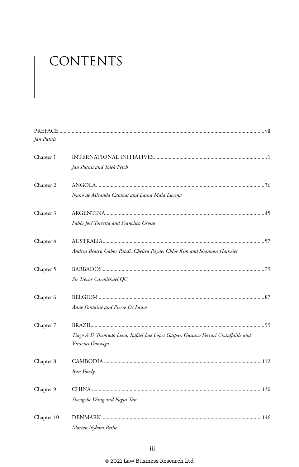# CONTENTS

| Jan Putnis |                                                                                    |  |
|------------|------------------------------------------------------------------------------------|--|
| Chapter 1  |                                                                                    |  |
|            | Jan Putnis and Tolek Petch                                                         |  |
| Chapter 2  |                                                                                    |  |
|            | Nuno de Miranda Catanas and Laura Maia Lucena                                      |  |
| Chapter 3  |                                                                                    |  |
|            | Pablo José Torretta and Francisco Grosso                                           |  |
| Chapter 4  |                                                                                    |  |
|            | Andrea Beatty, Gabor Papdi, Chelsea Payne, Chloe Kim and Shannon Hatheier          |  |
| Chapter 5  |                                                                                    |  |
|            | Sir Trevor Carmichael QC                                                           |  |
| Chapter 6  |                                                                                    |  |
|            | Anne Fontaine and Pierre De Pauw                                                   |  |
| Chapter 7  |                                                                                    |  |
|            | Tiago A D Themudo Lessa, Rafael José Lopes Gaspar, Gustavo Ferrari Chauffaille and |  |
|            | Vinicius Gonzaga                                                                   |  |
| Chapter 8  |                                                                                    |  |
|            | Bun Youdy                                                                          |  |
| Chapter 9  |                                                                                    |  |
|            | Shengzhe Wang and Fugui Tan                                                        |  |
| Chapter 10 |                                                                                    |  |
|            | Morten Nybom Bethe                                                                 |  |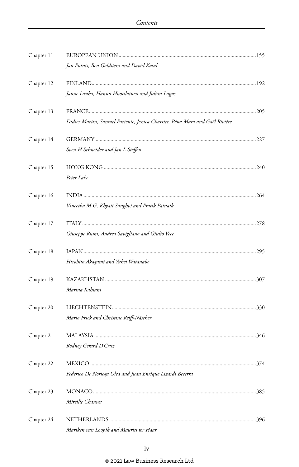| Chapter 11 |                                                                              |  |
|------------|------------------------------------------------------------------------------|--|
|            | Jan Putnis, Ben Goldstein and David Kasal                                    |  |
| Chapter 12 |                                                                              |  |
|            | Janne Lauha, Hannu Huotilainen and Julian Lagus                              |  |
| Chapter 13 |                                                                              |  |
|            | Didier Martin, Samuel Pariente, Jessica Chartier, Béna Mara and Gaël Rivière |  |
| Chapter 14 |                                                                              |  |
|            | Sven H Schneider and Jan L Steffen                                           |  |
| Chapter 15 |                                                                              |  |
|            | Peter Lake                                                                   |  |
| Chapter 16 |                                                                              |  |
|            | Vineetha M G, Khyati Sanghvi and Pratik Patnaik                              |  |
| Chapter 17 |                                                                              |  |
|            | Giuseppe Rumi, Andrea Savigliano and Giulio Vece                             |  |
| Chapter 18 |                                                                              |  |
|            | Hirohito Akagami and Yuhei Watanabe                                          |  |
| Chapter 19 |                                                                              |  |
|            | Marina Kahiani                                                               |  |
| Chapter 20 |                                                                              |  |
|            | Mario Frick and Christine Reiff-Näscher                                      |  |
| Chapter 21 |                                                                              |  |
|            | Rodney Gerard D'Cruz                                                         |  |
| Chapter 22 |                                                                              |  |
|            | Federico De Noriega Olea and Juan Enrique Lizardi Becerra                    |  |
| Chapter 23 |                                                                              |  |
|            | Mireille Chauvet                                                             |  |
| Chapter 24 |                                                                              |  |
|            | Mariken van Loopik and Maurits ter Haar                                      |  |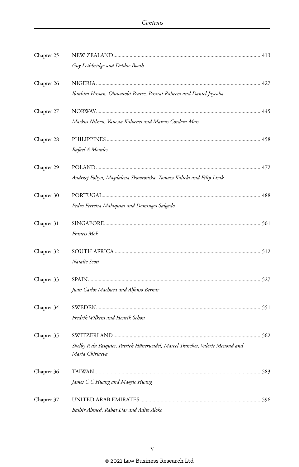| Chapter 25 |                                                                                                  |  |
|------------|--------------------------------------------------------------------------------------------------|--|
|            | Guy Lethbridge and Debbie Booth                                                                  |  |
| Chapter 26 |                                                                                                  |  |
|            | Ibrahim Hassan, Oluwatobi Pearce, Basirat Raheem and Daniel Jayeoba                              |  |
| Chapter 27 |                                                                                                  |  |
|            | Markus Nilssen, Vanessa Kalvenes and Marcus Cordero-Moss                                         |  |
| Chapter 28 |                                                                                                  |  |
|            | Rafael A Morales                                                                                 |  |
| Chapter 29 |                                                                                                  |  |
|            | Andrzej Foltyn, Magdalena Skowrońska, Tomasz Kalicki and Filip Lisak                             |  |
| Chapter 30 |                                                                                                  |  |
|            | Pedro Ferreira Malaquias and Domingos Salgado                                                    |  |
| Chapter 31 |                                                                                                  |  |
|            | Francis Mok                                                                                      |  |
| Chapter 32 |                                                                                                  |  |
|            | Natalie Scott                                                                                    |  |
| Chapter 33 |                                                                                                  |  |
|            | Juan Carlos Machuca and Alfonso Bernar                                                           |  |
| Chapter 34 |                                                                                                  |  |
|            | Fredrik Wilkens and Henrik Schön                                                                 |  |
| Chapter 35 |                                                                                                  |  |
|            | Shelby R du Pasquier, Patrick Hünerwadel, Marcel Tranchet, Valérie Menoud and<br>Maria Chiriaeva |  |
| Chapter 36 |                                                                                                  |  |
|            | James C C Huang and Maggie Huang                                                                 |  |
| Chapter 37 |                                                                                                  |  |
|            | Bashir Ahmed, Rahat Dar and Adite Aloke                                                          |  |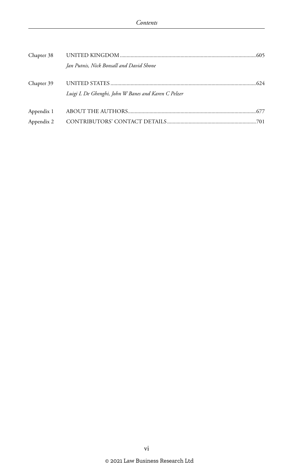| Chapter 38 |                                                     |  |
|------------|-----------------------------------------------------|--|
|            | Jan Putnis, Nick Bonsall and David Shone            |  |
| Chapter 39 | Luigi L De Ghenghi, John W Banes and Karen C Pelzer |  |
| Appendix 1 |                                                     |  |
| Appendix 2 |                                                     |  |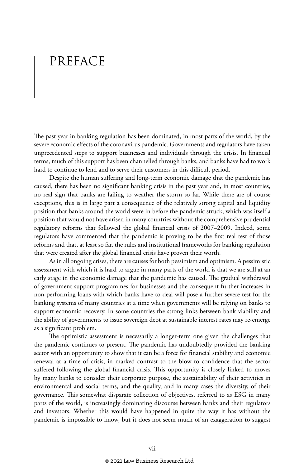# PREFACE

The past year in banking regulation has been dominated, in most parts of the world, by the severe economic effects of the coronavirus pandemic. Governments and regulators have taken unprecedented steps to support businesses and individuals through the crisis. In financial terms, much of this support has been channelled through banks, and banks have had to work hard to continue to lend and to serve their customers in this difficult period.

Despite the human suffering and long-term economic damage that the pandemic has caused, there has been no significant banking crisis in the past year and, in most countries, no real sign that banks are failing to weather the storm so far. While there are of course exceptions, this is in large part a consequence of the relatively strong capital and liquidity position that banks around the world were in before the pandemic struck, which was itself a position that would not have arisen in many countries without the comprehensive prudential regulatory reforms that followed the global financial crisis of 2007–2009. Indeed, some regulators have commented that the pandemic is proving to be the first real test of those reforms and that, at least so far, the rules and institutional frameworks for banking regulation that were created after the global financial crisis have proven their worth.

As in all ongoing crises, there are causes for both pessimism and optimism. A pessimistic assessment with which it is hard to argue in many parts of the world is that we are still at an early stage in the economic damage that the pandemic has caused. The gradual withdrawal of government support programmes for businesses and the consequent further increases in non-performing loans with which banks have to deal will pose a further severe test for the banking systems of many countries at a time when governments will be relying on banks to support economic recovery. In some countries the strong links between bank viability and the ability of governments to issue sovereign debt at sustainable interest rates may re-emerge as a significant problem.

The optimistic assessment is necessarily a longer-term one given the challenges that the pandemic continues to present. The pandemic has undoubtedly provided the banking sector with an opportunity to show that it can be a force for financial stability and economic renewal at a time of crisis, in marked contrast to the blow to confidence that the sector suffered following the global financial crisis. This opportunity is closely linked to moves by many banks to consider their corporate purpose, the sustainability of their activities in environmental and social terms, and the quality, and in many cases the diversity, of their governance. This somewhat disparate collection of objectives, referred to as ESG in many parts of the world, is increasingly dominating discourse between banks and their regulators and investors. Whether this would have happened in quite the way it has without the pandemic is impossible to know, but it does not seem much of an exaggeration to suggest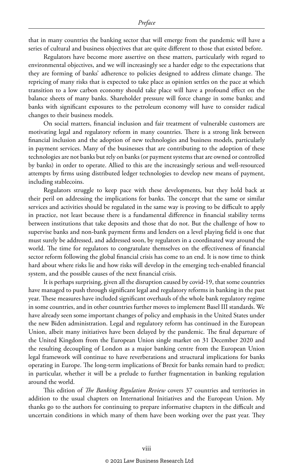that in many countries the banking sector that will emerge from the pandemic will have a series of cultural and business objectives that are quite different to those that existed before.

Regulators have become more assertive on these matters, particularly with regard to environmental objectives, and we will increasingly see a harder edge to the expectations that they are forming of banks' adherence to policies designed to address climate change. The repricing of many risks that is expected to take place as opinion settles on the pace at which transition to a low carbon economy should take place will have a profound effect on the balance sheets of many banks. Shareholder pressure will force change in some banks; and banks with significant exposures to the petroleum economy will have to consider radical changes to their business models.

On social matters, financial inclusion and fair treatment of vulnerable customers are motivating legal and regulatory reform in many countries. There is a strong link between financial inclusion and the adoption of new technologies and business models, particularly in payment services. Many of the businesses that are contributing to the adoption of these technologies are not banks but rely on banks (or payment systems that are owned or controlled by banks) in order to operate. Allied to this are the increasingly serious and well-resourced attempts by firms using distributed ledger technologies to develop new means of payment, including stablecoins.

Regulators struggle to keep pace with these developments, but they hold back at their peril on addressing the implications for banks. The concept that the same or similar services and activities should be regulated in the same way is proving to be difficult to apply in practice, not least because there is a fundamental difference in financial stability terms between institutions that take deposits and those that do not. But the challenge of how to supervise banks and non-bank payment firms and lenders on a level playing field is one that must surely be addressed, and addressed soon, by regulators in a coordinated way around the world. The time for regulators to congratulate themselves on the effectiveness of financial sector reform following the global financial crisis has come to an end. It is now time to think hard about where risks lie and how risks will develop in the emerging tech-enabled financial system, and the possible causes of the next financial crisis.

It is perhaps surprising, given all the disruption caused by covid-19, that some countries have managed to push through significant legal and regulatory reforms in banking in the past year. These measures have included significant overhauls of the whole bank regulatory regime in some countries, and in other countries further moves to implement Basel III standards. We have already seen some important changes of policy and emphasis in the United States under the new Biden administration. Legal and regulatory reform has continued in the European Union, albeit many initiatives have been delayed by the pandemic. The final departure of the United Kingdom from the European Union single market on 31 December 2020 and the resulting decoupling of London as a major banking centre from the European Union legal framework will continue to have reverberations and structural implications for banks operating in Europe. The long-term implications of Brexit for banks remain hard to predict; in particular, whether it will be a prelude to further fragmentation in banking regulation around the world.

This edition of *The Banking Regulation Review* covers 37 countries and territories in addition to the usual chapters on International Initiatives and the European Union. My thanks go to the authors for continuing to prepare informative chapters in the difficult and uncertain conditions in which many of them have been working over the past year. They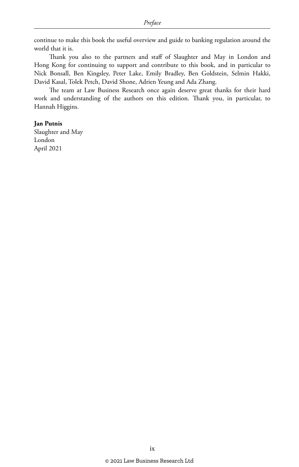continue to make this book the useful overview and guide to banking regulation around the world that it is.

Thank you also to the partners and staff of Slaughter and May in London and Hong Kong for continuing to support and contribute to this book, and in particular to Nick Bonsall, Ben Kingsley, Peter Lake, Emily Bradley, Ben Goldstein, Selmin Hakki, David Kasal, Tolek Petch, David Shone, Adrien Yeung and Ada Zhang.

The team at Law Business Research once again deserve great thanks for their hard work and understanding of the authors on this edition. Thank you, in particular, to Hannah Higgins.

#### **Jan Putnis**

Slaughter and May London April 2021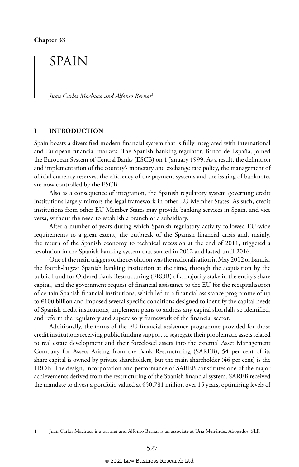## SPAIN

*Juan Carlos Machuca and Alfonso Bernar*<sup>1</sup>

#### **I INTRODUCTION**

Spain boasts a diversified modern financial system that is fully integrated with international and European financial markets. The Spanish banking regulator, Banco de España, joined the European System of Central Banks (ESCB) on 1 January 1999. As a result, the definition and implementation of the country's monetary and exchange rate policy, the management of official currency reserves, the efficiency of the payment systems and the issuing of banknotes are now controlled by the ESCB.

Also as a consequence of integration, the Spanish regulatory system governing credit institutions largely mirrors the legal framework in other EU Member States. As such, credit institutions from other EU Member States may provide banking services in Spain, and vice versa, without the need to establish a branch or a subsidiary.

After a number of years during which Spanish regulatory activity followed EU-wide requirements to a great extent, the outbreak of the Spanish financial crisis and, mainly, the return of the Spanish economy to technical recession at the end of 2011, triggered a revolution in the Spanish banking system that started in 2012 and lasted until 2016.

One of the main triggers of the revolution was the nationalisation in May 2012 of Bankia, the fourth-largest Spanish banking institution at the time, through the acquisition by the public Fund for Ordered Bank Restructuring (FROB) of a majority stake in the entity's share capital, and the government request of financial assistance to the EU for the recapitalisation of certain Spanish financial institutions, which led to a financial assistance programme of up to €100 billion and imposed several specific conditions designed to identify the capital needs of Spanish credit institutions, implement plans to address any capital shortfalls so identified, and reform the regulatory and supervisory framework of the financial sector.

Additionally, the terms of the EU financial assistance programme provided for those credit institutions receiving public funding support to segregate their problematic assets related to real estate development and their foreclosed assets into the external Asset Management Company for Assets Arising from the Bank Restructuring (SAREB); 54 per cent of its share capital is owned by private shareholders, but the main shareholder (46 per cent) is the FROB. The design, incorporation and performance of SAREB constitutes one of the major achievements derived from the restructuring of the Spanish financial system. SAREB received the mandate to divest a portfolio valued at €50,781 million over 15 years, optimising levels of

<sup>1</sup> Juan Carlos Machuca is a partner and Alfonso Bernar is an associate at Uría Menéndez Abogados, SLP.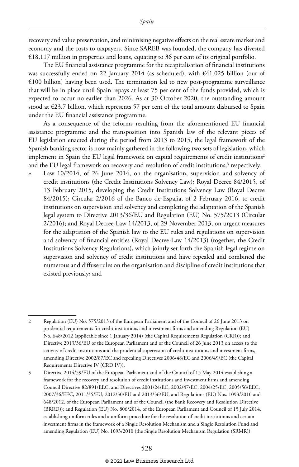recovery and value preservation, and minimising negative effects on the real estate market and economy and the costs to taxpayers. Since SAREB was founded, the company has divested €18,117 million in properties and loans, equating to 36 per cent of its original portfolio.

The EU financial assistance programme for the recapitalisation of financial institutions was successfully ended on 22 January 2014 (as scheduled), with €41.025 billion (out of €100 billion) having been used. The termination led to new post-programme surveillance that will be in place until Spain repays at least 75 per cent of the funds provided, which is expected to occur no earlier than 2026. As at 30 October 2020, the outstanding amount stood at €23.7 billion, which represents 57 per cent of the total amount disbursed to Spain under the EU financial assistance programme.

As a consequence of the reforms resulting from the aforementioned EU financial assistance programme and the transposition into Spanish law of the relevant pieces of EU legislation enacted during the period from 2013 to 2015, the legal framework of the Spanish banking sector is now mainly gathered in the following two sets of legislation, which implement in Spain the EU legal framework on capital requirements of credit institutions<sup>2</sup> and the EU legal framework on recovery and resolution of credit institutions, $^3$  respectively:

Law 10/2014, of 26 June 2014, on the organisation, supervision and solvency of credit institutions (the Credit Institutions Solvency Law); Royal Decree 84/2015, of 13 February 2015, developing the Credit Institutions Solvency Law (Royal Decree 84/2015); Circular 2/2016 of the Banco de España, of 2 February 2016, to credit institutions on supervision and solvency and completing the adaptation of the Spanish legal system to Directive 2013/36/EU and Regulation (EU) No. 575/2013 (Circular 2/2016); and Royal Decree-Law 14/2013, of 29 November 2013, on urgent measures for the adaptation of the Spanish law to the EU rules and regulations on supervision and solvency of financial entities (Royal Decree-Law 14/2013) (together, the Credit Institutions Solvency Regulations), which jointly set forth the Spanish legal regime on supervision and solvency of credit institutions and have repealed and combined the numerous and diffuse rules on the organisation and discipline of credit institutions that existed previously; and

<sup>2</sup> Regulation (EU) No. 575/2013 of the European Parliament and of the Council of 26 June 2013 on prudential requirements for credit institutions and investment firms and amending Regulation (EU) No. 648/2012 (applicable since 1 January 2014) (the Capital Requirements Regulation (CRR)); and Directive 2013/36/EU of the European Parliament and of the Council of 26 June 2013 on access to the activity of credit institutions and the prudential supervision of credit institutions and investment firms, amending Directive 2002/87/EC and repealing Directives 2006/48/EC and 2006/49/EC (the Capital Requirements Directive IV (CRD IV)).

<sup>3</sup> Directive 2014/59/EU of the European Parliament and of the Council of 15 May 2014 establishing a framework for the recovery and resolution of credit institutions and investment firms and amending Council Directive 82/891/EEC, and Directives 2001/24/EC, 2002/47/EC, 2004/25/EC, 2005/56/EEC, 2007/36/EEC, 2011/35/EU, 2012/30/EU and 2013/36/EU, and Regulations (EU) Nos. 1093/2010 and 648/2012, of the European Parliament and of the Council (the Bank Recovery and Resolution Directive (BRRD)); and Regulation (EU) No. 806/2014, of the European Parliament and Council of 15 July 2014, establishing uniform rules and a uniform procedure for the resolution of credit institutions and certain investment firms in the framework of a Single Resolution Mechanism and a Single Resolution Fund and amending Regulation (EU) No. 1093/2010 (the Single Resolution Mechanism Regulation (SRMR)).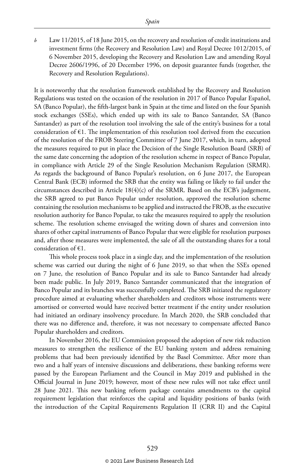*b* Law 11/2015, of 18 June 2015, on the recovery and resolution of credit institutions and investment firms (the Recovery and Resolution Law) and Royal Decree 1012/2015, of 6 November 2015, developing the Recovery and Resolution Law and amending Royal Decree 2606/1996, of 20 December 1996, on deposit guarantee funds (together, the Recovery and Resolution Regulations).

It is noteworthy that the resolution framework established by the Recovery and Resolution Regulations was tested on the occasion of the resolution in 2017 of Banco Popular Español, SA (Banco Popular), the fifth-largest bank in Spain at the time and listed on the four Spanish stock exchanges (SSEs), which ended up with its sale to Banco Santander, SA (Banco Santander) as part of the resolution tool involving the sale of the entity's business for a total consideration of  $\epsilon$ 1. The implementation of this resolution tool derived from the execution of the resolution of the FROB Steering Committee of 7 June 2017, which, in turn, adopted the measures required to put in place the Decision of the Single Resolution Board (SRB) of the same date concerning the adoption of the resolution scheme in respect of Banco Popular, in compliance with Article 29 of the Single Resolution Mechanism Regulation (SRMR). As regards the background of Banco Popular's resolution, on 6 June 2017, the European Central Bank (ECB) informed the SRB that the entity was failing or likely to fail under the circumstances described in Article 18(4)(c) of the SRMR. Based on the ECB's judgement, the SRB agreed to put Banco Popular under resolution, approved the resolution scheme containing the resolution mechanisms to be applied and instructed the FROB, as the executive resolution authority for Banco Popular, to take the measures required to apply the resolution scheme. The resolution scheme envisaged the writing down of shares and conversion into shares of other capital instruments of Banco Popular that were eligible for resolution purposes and, after those measures were implemented, the sale of all the outstanding shares for a total consideration of €1.

This whole process took place in a single day, and the implementation of the resolution scheme was carried out during the night of 6 June 2019, so that when the SSEs opened on 7 June, the resolution of Banco Popular and its sale to Banco Santander had already been made public. In July 2019, Banco Santander communicated that the integration of Banco Popular and its branches was successfully completed. The SRB initiated the regulatory procedure aimed at evaluating whether shareholders and creditors whose instruments were amortised or converted would have received better treatment if the entity under resolution had initiated an ordinary insolvency procedure. In March 2020, the SRB concluded that there was no difference and, therefore, it was not necessary to compensate affected Banco Popular shareholders and creditors.

In November 2016, the EU Commission proposed the adoption of new risk reduction measures to strengthen the resilience of the EU banking system and address remaining problems that had been previously identified by the Basel Committee. After more than two and a half years of intensive discussions and deliberations, these banking reforms were passed by the European Parliament and the Council in May 2019 and published in the Official Journal in June 2019; however, most of these new rules will not take effect until 28 June 2021. This new banking reform package contains amendments to the capital requirement legislation that reinforces the capital and liquidity positions of banks (with the introduction of the Capital Requirements Regulation II (CRR II) and the Capital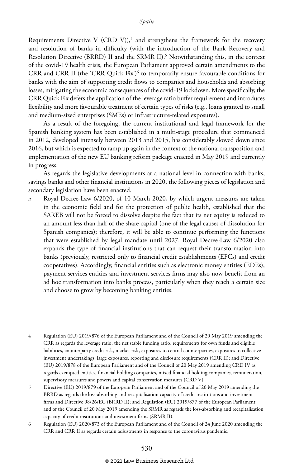Requirements Directive V (CRD V)), $\frac{4}{3}$  and strengthens the framework for the recovery and resolution of banks in difficulty (with the introduction of the Bank Recovery and Resolution Directive (BRRD) II and the SRMR II).<sup>5</sup> Notwithstanding this, in the context of the covid-19 health crisis, the European Parliament approved certain amendments to the CRR and CRR II (the 'CRR Quick Fix')6 to temporarily ensure favourable conditions for banks with the aim of supporting credit flows to companies and households and absorbing losses, mitigating the economic consequences of the covid-19 lockdown. More specifically, the CRR Quick Fix defers the application of the leverage ratio buffer requirement and introduces flexibility and more favourable treatment of certain types of risks (e.g., loans granted to small and medium-sized enterprises (SMEs) or infrastructure-related exposures).

As a result of the foregoing, the current institutional and legal framework for the Spanish banking system has been established in a multi-stage procedure that commenced in 2012, developed intensely between 2013 and 2015, has considerably slowed down since 2016, but which is expected to ramp up again in the context of the national transposition and implementation of the new EU banking reform package enacted in May 2019 and currently in progress.

As regards the legislative developments at a national level in connection with banks, savings banks and other financial institutions in 2020, the following pieces of legislation and secondary legislation have been enacted.

*a* Royal Decree-Law 6/2020, of 10 March 2020, by which urgent measures are taken in the economic field and for the protection of public health, established that the SAREB will not be forced to dissolve despite the fact that its net equity is reduced to an amount less than half of the share capital (one of the legal causes of dissolution for Spanish companies); therefore, it will be able to continue performing the functions that were established by legal mandate until 2027. Royal Decree-Law 6/2020 also expands the type of financial institutions that can request their transformation into banks (previously, restricted only to financial credit establishments (EFCs) and credit cooperatives). Accordingly, financial entities such as electronic money entities (EDEs), payment services entities and investment services firms may also now benefit from an ad hoc transformation into banks process, particularly when they reach a certain size and choose to grow by becoming banking entities.

<sup>4</sup> Regulation (EU) 2019/876 of the European Parliament and of the Council of 20 May 2019 amending the CRR as regards the leverage ratio, the net stable funding ratio, requirements for own funds and eligible liabilities, counterparty credit risk, market risk, exposures to central counterparties, exposures to collective investment undertakings, large exposures, reporting and disclosure requirements (CRR II); and Directive (EU) 2019/878 of the European Parliament and of the Council of 20 May 2019 amending CRD IV as regards exempted entities, financial holding companies, mixed financial holding companies, remuneration, supervisory measures and powers and capital conservation measures (CRD V).

<sup>5</sup> Directive (EU) 2019/879 of the European Parliament and of the Council of 20 May 2019 amending the BRRD as regards the loss-absorbing and recapitalisation capacity of credit institutions and investment firms and Directive 98/26/EC (BRRD II); and Regulation (EU) 2019/877 of the European Parliament and of the Council of 20 May 2019 amending the SRMR as regards the loss-absorbing and recapitalisation capacity of credit institutions and investment firms (SRMR II).

<sup>6</sup> Regulation (EU) 2020/873 of the European Parliament and of the Council of 24 June 2020 amending the CRR and CRR II as regards certain adjustments in response to the coronavirus pandemic.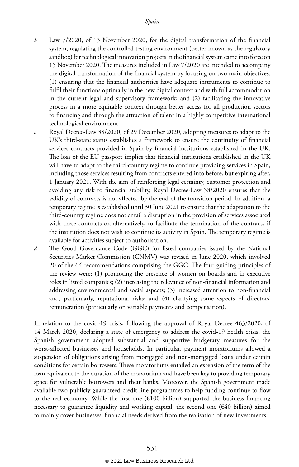- *b* Law 7/2020, of 13 November 2020, for the digital transformation of the financial system, regulating the controlled testing environment (better known as the regulatory sandbox) for technological innovation projects in the financial system came into force on 15 November 2020. The measures included in Law 7/2020 are intended to accompany the digital transformation of the financial system by focusing on two main objectives: (1) ensuring that the financial authorities have adequate instruments to continue to fulfil their functions optimally in the new digital context and with full accommodation in the current legal and supervisory framework; and (2) facilitating the innovative process in a more equitable context through better access for all production sectors to financing and through the attraction of talent in a highly competitive international technological environment.
- *c* Royal Decree-Law 38/2020, of 29 December 2020, adopting measures to adapt to the UK's third-state status establishes a framework to ensure the continuity of financial services contracts provided in Spain by financial institutions established in the UK. The loss of the EU passport implies that financial institutions established in the UK will have to adapt to the third-country regime to continue providing services in Spain, including those services resulting from contracts entered into before, but expiring after, 1 January 2021. With the aim of reinforcing legal certainty, customer protection and avoiding any risk to financial stability, Royal Decree-Law 38/2020 ensures that the validity of contracts is not affected by the end of the transition period. In addition, a temporary regime is established until 30 June 2021 to ensure that the adaptation to the third-country regime does not entail a disruption in the provision of services associated with these contracts or, alternatively, to facilitate the termination of the contracts if the institution does not wish to continue its activity in Spain. The temporary regime is available for activities subject to authorisation.
- *d* The Good Governance Code (GGC) for listed companies issued by the National Securities Market Commission (CNMV) was revised in June 2020, which involved 20 of the 64 recommendations comprising the GGC. The four guiding principles of the review were: (1) promoting the presence of women on boards and in executive roles in listed companies; (2) increasing the relevance of non-financial information and addressing environmental and social aspects; (3) increased attention to non-financial and, particularly, reputational risks; and (4) clarifying some aspects of directors' remuneration (particularly on variable payments and compensation).

In relation to the covid-19 crisis, following the approval of Royal Decree 463/2020, of 14 March 2020, declaring a state of emergency to address the covid-19 health crisis, the Spanish government adopted substantial and supportive budgetary measures for the worst-affected businesses and households. In particular, payment moratoriums allowed a suspension of obligations arising from mortgaged and non-mortgaged loans under certain conditions for certain borrowers. These moratoriums entailed an extension of the term of the loan equivalent to the duration of the moratorium and have been key to providing temporary space for vulnerable borrowers and their banks. Moreover, the Spanish government made available two publicly guaranteed credit line programmes to help funding continue to flow to the real economy. While the first one  $(\text{\textsterling}100 \text{ billion})$  supported the business financing necessary to guarantee liquidity and working capital, the second one (€40 billion) aimed to mainly cover businesses' financial needs derived from the realisation of new investments.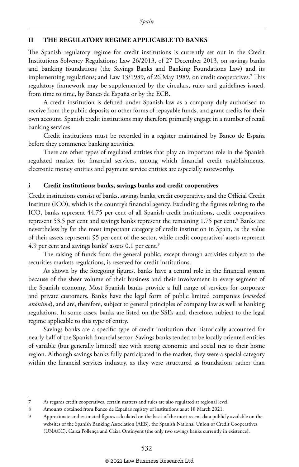#### **II THE REGULATORY REGIME APPLICABLE TO BANKS**

The Spanish regulatory regime for credit institutions is currently set out in the Credit Institutions Solvency Regulations; Law 26/2013, of 27 December 2013, on savings banks and banking foundations (the Savings Banks and Banking Foundations Law) and its implementing regulations; and Law 13/1989, of 26 May 1989, on credit cooperatives.7 This regulatory framework may be supplemented by the circulars, rules and guidelines issued, from time to time, by Banco de España or by the ECB.

A credit institution is defined under Spanish law as a company duly authorised to receive from the public deposits or other forms of repayable funds, and grant credits for their own account. Spanish credit institutions may therefore primarily engage in a number of retail banking services.

Credit institutions must be recorded in a register maintained by Banco de España before they commence banking activities.

There are other types of regulated entities that play an important role in the Spanish regulated market for financial services, among which financial credit establishments, electronic money entities and payment service entities are especially noteworthy.

#### **i Credit institutions: banks, savings banks and credit cooperatives**

Credit institutions consist of banks, savings banks, credit cooperatives and the Official Credit Institute (ICO), which is the country's financial agency. Excluding the figures relating to the ICO, banks represent 44.75 per cent of all Spanish credit institutions, credit cooperatives represent 53.5 per cent and savings banks represent the remaining 1.75 per cent.<sup>8</sup> Banks are nevertheless by far the most important category of credit institution in Spain, as the value of their assets represents 95 per cent of the sector, while credit cooperatives' assets represent 4.9 per cent and savings banks' assets 0.1 per cent.<sup>9</sup>

The raising of funds from the general public, except through activities subject to the securities markets regulations, is reserved for credit institutions.

As shown by the foregoing figures, banks have a central role in the financial system because of the sheer volume of their business and their involvement in every segment of the Spanish economy. Most Spanish banks provide a full range of services for corporate and private customers. Banks have the legal form of public limited companies (*sociedad anónima*), and are, therefore, subject to general principles of company law as well as banking regulations. In some cases, banks are listed on the SSEs and, therefore, subject to the legal regime applicable to this type of entity.

Savings banks are a specific type of credit institution that historically accounted for nearly half of the Spanish financial sector. Savings banks tended to be locally oriented entities of variable (but generally limited) size with strong economic and social ties to their home region. Although savings banks fully participated in the market, they were a special category within the financial services industry, as they were structured as foundations rather than

<sup>7</sup> As regards credit cooperatives, certain matters and rules are also regulated at regional level.

<sup>8</sup> Amounts obtained from Banco de España's registry of institutions as at 18 March 2021.

<sup>9</sup> Approximate and estimated figures calculated on the basis of the most recent data publicly available on the websites of the Spanish Banking Association (AEB), the Spanish National Union of Credit Cooperatives (UNACC), Caixa Pollença and Caixa Ontinyent (the only two savings banks currently in existence).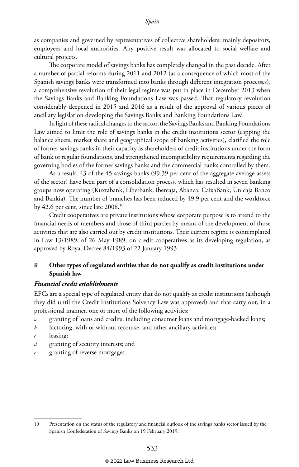as companies and governed by representatives of collective shareholders: mainly depositors, employees and local authorities. Any positive result was allocated to social welfare and cultural projects.

The corporate model of savings banks has completely changed in the past decade. After a number of partial reforms during 2011 and 2012 (as a consequence of which most of the Spanish savings banks were transformed into banks through different integration processes), a comprehensive revolution of their legal regime was put in place in December 2013 when the Savings Banks and Banking Foundations Law was passed. That regulatory revolution considerably deepened in 2015 and 2016 as a result of the approval of various pieces of ancillary legislation developing the Savings Banks and Banking Foundations Law.

In light of these radical changes to the sector, the Savings Banks and Banking Foundations Law aimed to limit the role of savings banks in the credit institutions sector (capping the balance sheets, market share and geographical scope of banking activities), clarified the role of former savings banks in their capacity as shareholders of credit institutions under the form of bank or regular foundations, and strengthened incompatibility requirements regarding the governing bodies of the former savings banks and the commercial banks controlled by them.

As a result, 43 of the 45 savings banks (99.39 per cent of the aggregate average assets of the sector) have been part of a consolidation process, which has resulted in seven banking groups now operating (Kuxtabank, Liberbank, Ibercaja, Abanca, CaixaBank, Unicaja Banco and Bankia). The number of branches has been reduced by 49.9 per cent and the workforce by 42.6 per cent, since late 2008.10

Credit cooperatives are private institutions whose corporate purpose is to attend to the financial needs of members and those of third parties by means of the development of those activities that are also carried out by credit institutions. Their current regime is contemplated in Law 13/1989, of 26 May 1989, on credit cooperatives as its developing regulation, as approved by Royal Decree 84/1993 of 22 January 1993.

#### **ii Other types of regulated entities that do not qualify as credit institutions under Spanish law**

#### *Financial credit establishments*

EFCs are a special type of regulated entity that do not qualify as credit institutions (although they did until the Credit Institutions Solvency Law was approved) and that carry out, in a professional manner, one or more of the following activities:

- *a* granting of loans and credits, including consumer loans and mortgage-backed loans;
- *b* factoring, with or without recourse, and other ancillary activities;
- leasing;
- *d* granting of security interests; and
- *e* granting of reverse mortgages.

<sup>10</sup> Presentation on the status of the regulatory and financial outlook of the savings banks sector issued by the Spanish Confederation of Savings Banks on 19 February 2019.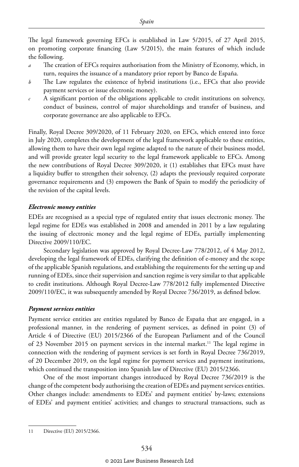The legal framework governing EFCs is established in Law 5/2015, of 27 April 2015, on promoting corporate financing (Law 5/2015), the main features of which include the following.

- *a* The creation of EFCs requires authorisation from the Ministry of Economy, which, in turn, requires the issuance of a mandatory prior report by Banco de España.
- *b* The Law regulates the existence of hybrid institutions (i.e., EFCs that also provide payment services or issue electronic money).
- *c* A significant portion of the obligations applicable to credit institutions on solvency, conduct of business, control of major shareholdings and transfer of business, and corporate governance are also applicable to EFCs.

Finally, Royal Decree 309/2020, of 11 February 2020, on EFCs, which entered into force in July 2020, completes the development of the legal framework applicable to these entities, allowing them to have their own legal regime adapted to the nature of their business model, and will provide greater legal security to the legal framework applicable to EFCs. Among the new contributions of Royal Decree 309/2020, it (1) establishes that EFCs must have a liquidity buffer to strengthen their solvency, (2) adapts the previously required corporate governance requirements and (3) empowers the Bank of Spain to modify the periodicity of the revision of the capital levels.

#### *Electronic money entities*

EDEs are recognised as a special type of regulated entity that issues electronic money. The legal regime for EDEs was established in 2008 and amended in 2011 by a law regulating the issuing of electronic money and the legal regime of EDEs, partially implementing Directive 2009/110/EC.

Secondary legislation was approved by Royal Decree-Law 778/2012, of 4 May 2012, developing the legal framework of EDEs, clarifying the definition of e-money and the scope of the applicable Spanish regulations, and establishing the requirements for the setting up and running of EDEs, since their supervision and sanction regime is very similar to that applicable to credit institutions. Although Royal Decree-Law 778/2012 fully implemented Directive 2009/110/EC, it was subsequently amended by Royal Decree 736/2019, as defined below.

#### *Payment services entities*

Payment service entities are entities regulated by Banco de España that are engaged, in a professional manner, in the rendering of payment services, as defined in point (3) of Article 4 of Directive (EU) 2015/2366 of the European Parliament and of the Council of 23 November 2015 on payment services in the internal market.11 The legal regime in connection with the rendering of payment services is set forth in Royal Decree 736/2019, of 20 December 2019, on the legal regime for payment services and payment institutions, which continued the transposition into Spanish law of Directive (EU) 2015/2366.

One of the most important changes introduced by Royal Decree 736/2019 is the change of the competent body authorising the creation of EDEs and payment services entities. Other changes include: amendments to EDEs' and payment entities' by-laws; extensions of EDEs' and payment entities' activities; and changes to structural transactions, such as

<sup>11</sup> Directive (EU) 2015/2366.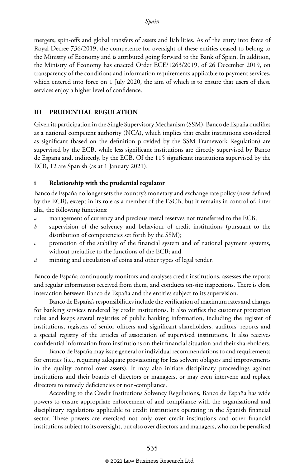mergers, spin-offs and global transfers of assets and liabilities. As of the entry into force of Royal Decree 736/2019, the competence for oversight of these entities ceased to belong to the Ministry of Economy and is attributed going forward to the Bank of Spain. In addition, the Ministry of Economy has enacted Order ECE/1263/2019, of 26 December 2019, on transparency of the conditions and information requirements applicable to payment services, which entered into force on 1 July 2020, the aim of which is to ensure that users of these services enjoy a higher level of confidence.

#### **III PRUDENTIAL REGULATION**

Given its participation in the Single Supervisory Mechanism (SSM), Banco de España qualifies as a national competent authority (NCA), which implies that credit institutions considered as significant (based on the definition provided by the SSM Framework Regulation) are supervised by the ECB, while less significant institutions are directly supervised by Banco de España and, indirectly, by the ECB. Of the 115 significant institutions supervised by the ECB, 12 are Spanish (as at 1 January 2021).

#### **i Relationship with the prudential regulator**

Banco de España no longer sets the country's monetary and exchange rate policy (now defined by the ECB), except in its role as a member of the ESCB, but it remains in control of, inter alia, the following functions:

- *a* management of currency and precious metal reserves not transferred to the ECB;
- *b* supervision of the solvency and behaviour of credit institutions (pursuant to the distribution of competencies set forth by the SSM);
- *c* promotion of the stability of the financial system and of national payment systems, without prejudice to the functions of the ECB; and
- *d* minting and circulation of coins and other types of legal tender.

Banco de España continuously monitors and analyses credit institutions, assesses the reports and regular information received from them, and conducts on-site inspections. There is close interaction between Banco de España and the entities subject to its supervision.

Banco de España's responsibilities include the verification of maximum rates and charges for banking services rendered by credit institutions. It also verifies the customer protection rules and keeps several registries of public banking information, including the register of institutions, registers of senior officers and significant shareholders, auditors' reports and a special registry of the articles of association of supervised institutions. It also receives confidential information from institutions on their financial situation and their shareholders.

Banco de España may issue general or individual recommendations to and requirements for entities (i.e., requiring adequate provisioning for less solvent obligors and improvements in the quality control over assets). It may also initiate disciplinary proceedings against institutions and their boards of directors or managers, or may even intervene and replace directors to remedy deficiencies or non-compliance.

According to the Credit Institutions Solvency Regulations, Banco de España has wide powers to ensure appropriate enforcement of and compliance with the organisational and disciplinary regulations applicable to credit institutions operating in the Spanish financial sector. These powers are exercised not only over credit institutions and other financial institutions subject to its oversight, but also over directors and managers, who can be penalised

#### © 2021 Law Business Research Ltd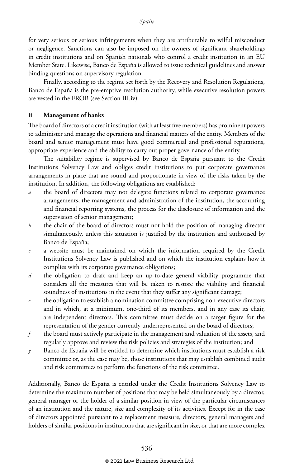for very serious or serious infringements when they are attributable to wilful misconduct or negligence. Sanctions can also be imposed on the owners of significant shareholdings in credit institutions and on Spanish nationals who control a credit institution in an EU Member State. Likewise, Banco de España is allowed to issue technical guidelines and answer binding questions on supervisory regulation.

Finally, according to the regime set forth by the Recovery and Resolution Regulations, Banco de España is the pre-emptive resolution authority, while executive resolution powers are vested in the FROB (see Section III.iv).

#### **ii Management of banks**

The board of directors of a credit institution (with at least five members) has prominent powers to administer and manage the operations and financial matters of the entity. Members of the board and senior management must have good commercial and professional reputations, appropriate experience and the ability to carry out proper governance of the entity.

The suitability regime is supervised by Banco de España pursuant to the Credit Institutions Solvency Law and obliges credit institutions to put corporate governance arrangements in place that are sound and proportionate in view of the risks taken by the institution. In addition, the following obligations are established:

- the board of directors may not delegate functions related to corporate governance arrangements, the management and administration of the institution, the accounting and financial reporting systems, the process for the disclosure of information and the supervision of senior management;
- *b* the chair of the board of directors must not hold the position of managing director simultaneously, unless this situation is justified by the institution and authorised by Banco de España;
- *c* a website must be maintained on which the information required by the Credit Institutions Solvency Law is published and on which the institution explains how it complies with its corporate governance obligations;
- *d* the obligation to draft and keep an up-to-date general viability programme that considers all the measures that will be taken to restore the viability and financial soundness of institutions in the event that they suffer any significant damage;
- *e* the obligation to establish a nomination committee comprising non-executive directors and in which, at a minimum, one-third of its members, and in any case its chair, are independent directors. This committee must decide on a target figure for the representation of the gender currently underrepresented on the board of directors;
- *f* the board must actively participate in the management and valuation of the assets, and regularly approve and review the risk policies and strategies of the institution; and
- *g* Banco de España will be entitled to determine which institutions must establish a risk committee or, as the case may be, those institutions that may establish combined audit and risk committees to perform the functions of the risk committee.

Additionally, Banco de España is entitled under the Credit Institutions Solvency Law to determine the maximum number of positions that may be held simultaneously by a director, general manager or the holder of a similar position in view of the particular circumstances of an institution and the nature, size and complexity of its activities. Except for in the case of directors appointed pursuant to a replacement measure, directors, general managers and holders of similar positions in institutions that are significant in size, or that are more complex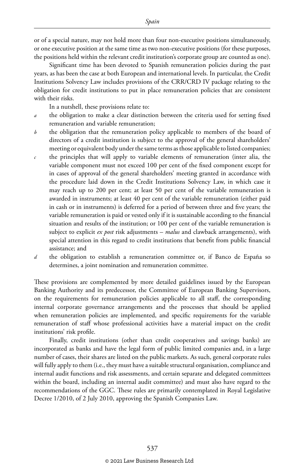or of a special nature, may not hold more than four non-executive positions simultaneously, or one executive position at the same time as two non-executive positions (for these purposes, the positions held within the relevant credit institution's corporate group are counted as one).

Significant time has been devoted to Spanish remuneration policies during the past years, as has been the case at both European and international levels. In particular, the Credit Institutions Solvency Law includes provisions of the CRR/CRD IV package relating to the obligation for credit institutions to put in place remuneration policies that are consistent with their risks.

In a nutshell, these provisions relate to:

- *a* the obligation to make a clear distinction between the criteria used for setting fixed remuneration and variable remuneration;
- *b* the obligation that the remuneration policy applicable to members of the board of directors of a credit institution is subject to the approval of the general shareholders' meeting or equivalent body under the same terms as those applicable to listed companies;
- *c* the principles that will apply to variable elements of remuneration (inter alia, the variable component must not exceed 100 per cent of the fixed component except for in cases of approval of the general shareholders' meeting granted in accordance with the procedure laid down in the Credit Institutions Solvency Law, in which case it may reach up to 200 per cent; at least 50 per cent of the variable remuneration is awarded in instruments; at least 40 per cent of the variable remuneration (either paid in cash or in instruments) is deferred for a period of between three and five years; the variable remuneration is paid or vested only if it is sustainable according to the financial situation and results of the institution; or 100 per cent of the variable remuneration is subject to explicit *ex post* risk adjustments – *malus* and clawback arrangements), with special attention in this regard to credit institutions that benefit from public financial assistance; and
- *d* the obligation to establish a remuneration committee or, if Banco de España so determines, a joint nomination and remuneration committee.

These provisions are complemented by more detailed guidelines issued by the European Banking Authority and its predecessor, the Committee of European Banking Supervisors, on the requirements for remuneration policies applicable to all staff, the corresponding internal corporate governance arrangements and the processes that should be applied when remuneration policies are implemented, and specific requirements for the variable remuneration of staff whose professional activities have a material impact on the credit institutions' risk profile.

Finally, credit institutions (other than credit cooperatives and savings banks) are incorporated as banks and have the legal form of public limited companies and, in a large number of cases, their shares are listed on the public markets. As such, general corporate rules will fully apply to them (i.e., they must have a suitable structural organisation, compliance and internal audit functions and risk assessments, and certain separate and delegated committees within the board, including an internal audit committee) and must also have regard to the recommendations of the GGC. These rules are primarily contemplated in Royal Legislative Decree 1/2010, of 2 July 2010, approving the Spanish Companies Law.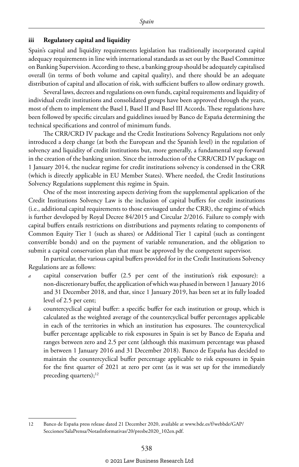#### **iii Regulatory capital and liquidity**

Spain's capital and liquidity requirements legislation has traditionally incorporated capital adequacy requirements in line with international standards as set out by the Basel Committee on Banking Supervision. According to these, a banking group should be adequately capitalised overall (in terms of both volume and capital quality), and there should be an adequate distribution of capital and allocation of risk, with sufficient buffers to allow ordinary growth.

Several laws, decrees and regulations on own funds, capital requirements and liquidity of individual credit institutions and consolidated groups have been approved through the years, most of them to implement the Basel I, Basel II and Basel III Accords. These regulations have been followed by specific circulars and guidelines issued by Banco de España determining the technical specifications and control of minimum funds.

The CRR/CRD IV package and the Credit Institutions Solvency Regulations not only introduced a deep change (at both the European and the Spanish level) in the regulation of solvency and liquidity of credit institutions but, more generally, a fundamental step forward in the creation of the banking union. Since the introduction of the CRR/CRD IV package on 1 January 2014, the nuclear regime for credit institutions solvency is condensed in the CRR (which is directly applicable in EU Member States). Where needed, the Credit Institutions Solvency Regulations supplement this regime in Spain.

One of the most interesting aspects deriving from the supplemental application of the Credit Institutions Solvency Law is the inclusion of capital buffers for credit institutions (i.e., additional capital requirements to those envisaged under the CRR), the regime of which is further developed by Royal Decree 84/2015 and Circular 2/2016. Failure to comply with capital buffers entails restrictions on distributions and payments relating to components of Common Equity Tier 1 (such as shares) or Additional Tier 1 capital (such as contingent convertible bonds) and on the payment of variable remuneration, and the obligation to submit a capital conservation plan that must be approved by the competent supervisor.

In particular, the various capital buffers provided for in the Credit Institutions Solvency Regulations are as follows:

- *a* capital conservation buffer (2.5 per cent of the institution's risk exposure): a non-discretionary buffer, the application of which was phased in between 1 January 2016 and 31 December 2018, and that, since 1 January 2019, has been set at its fully loaded level of 2.5 per cent;
- *b* countercyclical capital buffer: a specific buffer for each institution or group, which is calculated as the weighted average of the countercyclical buffer percentages applicable in each of the territories in which an institution has exposures. The countercyclical buffer percentage applicable to risk exposures in Spain is set by Banco de España and ranges between zero and 2.5 per cent (although this maximum percentage was phased in between 1 January 2016 and 31 December 2018). Banco de España has decided to maintain the countercyclical buffer percentage applicable to risk exposures in Spain for the first quarter of 2021 at zero per cent (as it was set up for the immediately preceding quarters); $^{12}$

<sup>12</sup> Banco de España press release dated 21 December 2020, available at www.bde.es/f/webbde/GAP/ Secciones/SalaPrensa/NotasInformativas/20/presbe2020\_102en.pdf.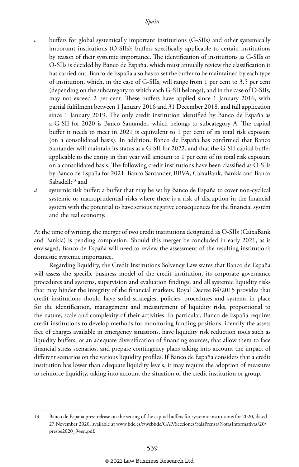- buffers for global systemically important institutions (G-SIIs) and other systemically important institutions (O-SIIs): buffers specifically applicable to certain institutions by reason of their systemic importance. The identification of institutions as G-SIIs or O-SIIs is decided by Banco de España, which must annually review the classification it has carried out. Banco de España also has to set the buffer to be maintained by each type of institution, which, in the case of G-SIIs, will range from 1 per cent to 3.5 per cent (depending on the subcategory to which each G-SII belongs), and in the case of O-SIIs, may not exceed 2 per cent. These buffers have applied since 1 January 2016, with partial fulfilment between 1 January 2016 and 31 December 2018, and full application since 1 January 2019. The only credit institution identified by Banco de España as a G-SII for 2020 is Banco Santander, which belongs to subcategory A. The capital buffer it needs to meet in 2021 is equivalent to 1 per cent of its total risk exposure (on a consolidated basis). In addition, Banco de España has confirmed that Banco Santander will maintain its status as a G-SII for 2022, and that the G-SII capital buffer applicable to the entity in that year will amount to 1 per cent of its total risk exposure on a consolidated basis. The following credit institutions have been classified as O-SIIs by Banco de España for 2021: Banco Santander, BBVA, CaixaBank, Bankia and Banco Sabadell;<sup>13</sup> and
- *d* systemic risk buffer: a buffer that may be set by Banco de España to cover non-cyclical systemic or macroprudential risks where there is a risk of disruption in the financial system with the potential to have serious negative consequences for the financial system and the real economy.

At the time of writing, the merger of two credit institutions designated as O-SIIs (CaixaBank and Bankia) is pending completion. Should this merger be concluded in early 2021, as is envisaged, Banco de España will need to review the assessment of the resulting institution's domestic systemic importance.

Regarding liquidity, the Credit Institutions Solvency Law states that Banco de España will assess the specific business model of the credit institution, its corporate governance procedures and systems, supervision and evaluation findings, and all systemic liquidity risks that may hinder the integrity of the financial markets. Royal Decree 84/2015 provides that credit institutions should have solid strategies, policies, procedures and systems in place for the identification, management and measurement of liquidity risks, proportional to the nature, scale and complexity of their activities. In particular, Banco de España requires credit institutions to develop methods for monitoring funding positions, identify the assets free of charges available in emergency situations, have liquidity risk reduction tools such as liquidity buffers, or an adequate diversification of financing sources, that allow them to face financial stress scenarios, and prepare contingency plans taking into account the impact of different scenarios on the various liquidity profiles. If Banco de España considers that a credit institution has lower than adequate liquidity levels, it may require the adoption of measures to reinforce liquidity, taking into account the situation of the credit institution or group.

<sup>13</sup> Banco de España press release on the setting of the capital buffers for systemic institutions for 2020, dated 27 November 2020, available at www.bde.es/f/webbde/GAP/Secciones/SalaPrensa/NotasInformativas/20/ presbe2020\_94en.pdf.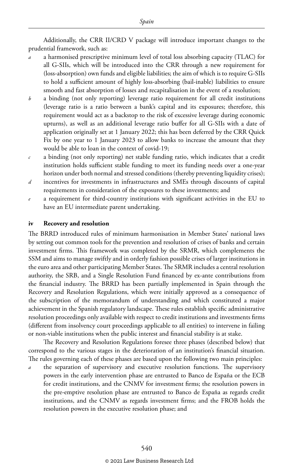Additionally, the CRR II/CRD V package will introduce important changes to the prudential framework, such as:

- *a* a harmonised prescriptive minimum level of total loss absorbing capacity (TLAC) for all G-SIIs, which will be introduced into the CRR through a new requirement for (loss-absorption) own funds and eligible liabilities; the aim of which is to require G-SIIs to hold a sufficient amount of highly loss-absorbing (bail-inable) liabilities to ensure smooth and fast absorption of losses and recapitalisation in the event of a resolution;
- *b* a binding (not only reporting) leverage ratio requirement for all credit institutions (leverage ratio is a ratio between a bank's capital and its exposures; therefore, this requirement would act as a backstop to the risk of excessive leverage during economic upturns), as well as an additional leverage ratio buffer for all G-SIIs with a date of application originally set at 1 January 2022; this has been deferred by the CRR Quick Fix by one year to 1 January 2023 to allow banks to increase the amount that they would be able to loan in the context of covid-19;
- *c* a binding (not only reporting) net stable funding ratio, which indicates that a credit institution holds sufficient stable funding to meet its funding needs over a one-year horizon under both normal and stressed conditions (thereby preventing liquidity crises);
- *d* incentives for investments in infrastructures and SMEs through discounts of capital requirements in consideration of the exposures to these investments; and
- a requirement for third-country institutions with significant activities in the EU to have an EU intermediate parent undertaking.

#### **iv Recovery and resolution**

The BRRD introduced rules of minimum harmonisation in Member States' national laws by setting out common tools for the prevention and resolution of crises of banks and certain investment firms. This framework was completed by the SRMR, which complements the SSM and aims to manage swiftly and in orderly fashion possible crises of larger institutions in the euro area and other participating Member States. The SRMR includes a central resolution authority, the SRB, and a Single Resolution Fund financed by ex-ante contributions from the financial industry. The BRRD has been partially implemented in Spain through the Recovery and Resolution Regulations, which were initially approved as a consequence of the subscription of the memorandum of understanding and which constituted a major achievement in the Spanish regulatory landscape. These rules establish specific administrative resolution proceedings only available with respect to credit institutions and investments firms (different from insolvency court proceedings applicable to all entities) to intervene in failing or non-viable institutions when the public interest and financial stability is at stake.

The Recovery and Resolution Regulations foresee three phases (described below) that correspond to the various stages in the deterioration of an institution's financial situation. The rules governing each of these phases are based upon the following two main principles:

*a* the separation of supervisory and executive resolution functions. The supervisory powers in the early intervention phase are entrusted to Banco de España or the ECB for credit institutions, and the CNMV for investment firms; the resolution powers in the pre-emptive resolution phase are entrusted to Banco de España as regards credit institutions, and the CNMV as regards investment firms; and the FROB holds the resolution powers in the executive resolution phase; and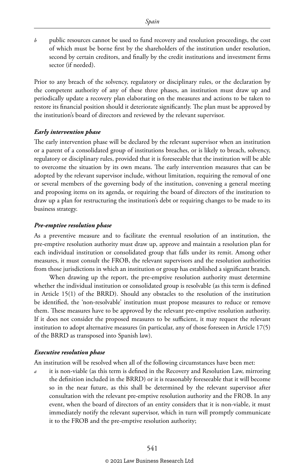*b* public resources cannot be used to fund recovery and resolution proceedings, the cost of which must be borne first by the shareholders of the institution under resolution, second by certain creditors, and finally by the credit institutions and investment firms sector (if needed).

Prior to any breach of the solvency, regulatory or disciplinary rules, or the declaration by the competent authority of any of these three phases, an institution must draw up and periodically update a recovery plan elaborating on the measures and actions to be taken to restore its financial position should it deteriorate significantly. The plan must be approved by the institution's board of directors and reviewed by the relevant supervisor.

#### *Early intervention phase*

The early intervention phase will be declared by the relevant supervisor when an institution or a parent of a consolidated group of institutions breaches, or is likely to breach, solvency, regulatory or disciplinary rules, provided that it is foreseeable that the institution will be able to overcome the situation by its own means. The early intervention measures that can be adopted by the relevant supervisor include, without limitation, requiring the removal of one or several members of the governing body of the institution, convening a general meeting and proposing items on its agenda, or requiring the board of directors of the institution to draw up a plan for restructuring the institution's debt or requiring changes to be made to its business strategy.

#### *Pre-emptive resolution phase*

As a preventive measure and to facilitate the eventual resolution of an institution, the pre-emptive resolution authority must draw up, approve and maintain a resolution plan for each individual institution or consolidated group that falls under its remit. Among other measures, it must consult the FROB, the relevant supervisors and the resolution authorities from those jurisdictions in which an institution or group has established a significant branch.

When drawing up the report, the pre-emptive resolution authority must determine whether the individual institution or consolidated group is resolvable (as this term is defined in Article 15(1) of the BRRD). Should any obstacles to the resolution of the institution be identified, the 'non-resolvable' institution must propose measures to reduce or remove them. These measures have to be approved by the relevant pre-emptive resolution authority. If it does not consider the proposed measures to be sufficient, it may request the relevant institution to adopt alternative measures (in particular, any of those foreseen in Article 17(5) of the BRRD as transposed into Spanish law).

#### *Executive resolution phase*

An institution will be resolved when all of the following circumstances have been met:

*a* it is non-viable (as this term is defined in the Recovery and Resolution Law, mirroring the definition included in the BRRD) or it is reasonably foreseeable that it will become so in the near future, as this shall be determined by the relevant supervisor after consultation with the relevant pre-emptive resolution authority and the FROB. In any event, when the board of directors of an entity considers that it is non-viable, it must immediately notify the relevant supervisor, which in turn will promptly communicate it to the FROB and the pre-emptive resolution authority;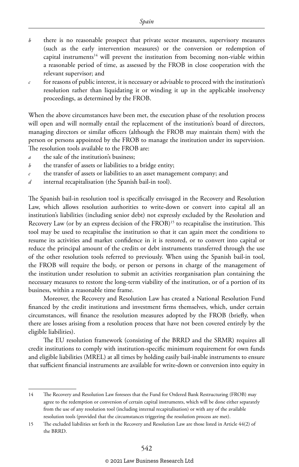- *b* there is no reasonable prospect that private sector measures, supervisory measures (such as the early intervention measures) or the conversion or redemption of capital instruments<sup>14</sup> will prevent the institution from becoming non-viable within a reasonable period of time, as assessed by the FROB in close cooperation with the relevant supervisor; and
- *c* for reasons of public interest, it is necessary or advisable to proceed with the institution's resolution rather than liquidating it or winding it up in the applicable insolvency proceedings, as determined by the FROB.

When the above circumstances have been met, the execution phase of the resolution process will open and will normally entail the replacement of the institution's board of directors, managing directors or similar officers (although the FROB may maintain them) with the person or persons appointed by the FROB to manage the institution under its supervision. The resolution tools available to the FROB are:

- *a* the sale of the institution's business;
- *b* the transfer of assets or liabilities to a bridge entity;
- *c* the transfer of assets or liabilities to an asset management company; and
- *d* internal recapitalisation (the Spanish bail-in tool).

The Spanish bail-in resolution tool is specifically envisaged in the Recovery and Resolution Law, which allows resolution authorities to write-down or convert into capital all an institution's liabilities (including senior debt) not expressly excluded by the Resolution and Recovery Law (or by an express decision of the  $FROB$ )<sup>15</sup> to recapitalise the institution. This tool may be used to recapitalise the institution so that it can again meet the conditions to resume its activities and market confidence in it is restored, or to convert into capital or reduce the principal amount of the credits or debt instruments transferred through the use of the other resolution tools referred to previously. When using the Spanish bail-in tool, the FROB will require the body, or person or persons in charge of the management of the institution under resolution to submit an activities reorganisation plan containing the necessary measures to restore the long-term viability of the institution, or of a portion of its business, within a reasonable time frame.

Moreover, the Recovery and Resolution Law has created a National Resolution Fund financed by the credit institutions and investment firms themselves, which, under certain circumstances, will finance the resolution measures adopted by the FROB (briefly, when there are losses arising from a resolution process that have not been covered entirely by the eligible liabilities).

The EU resolution framework (consisting of the BRRD and the SRMR) requires all credit institutions to comply with institution-specific minimum requirement for own funds and eligible liabilities (MREL) at all times by holding easily bail-inable instruments to ensure that sufficient financial instruments are available for write-down or conversion into equity in

<sup>14</sup> The Recovery and Resolution Law foresees that the Fund for Ordered Bank Restructuring (FROB) may agree to the redemption or conversion of certain capital instruments, which will be done either separately from the use of any resolution tool (including internal recapitalisation) or with any of the available resolution tools (provided that the circumstances triggering the resolution process are met).

<sup>15</sup> The excluded liabilities set forth in the Recovery and Resolution Law are those listed in Article 44(2) of the BRRD.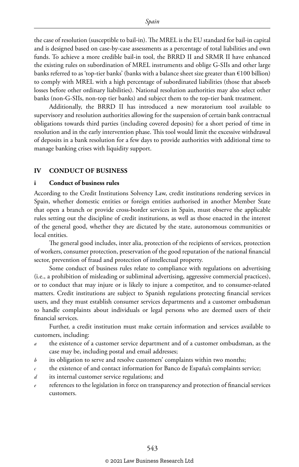the case of resolution (susceptible to bail-in). The MREL is the EU standard for bail-in capital and is designed based on case-by-case assessments as a percentage of total liabilities and own funds. To achieve a more credible bail-in tool, the BRRD II and SRMR II have enhanced the existing rules on subordination of MREL instruments and oblige G-SIIs and other large banks referred to as 'top-tier banks' (banks with a balance sheet size greater than  $\epsilon$ 100 billion) to comply with MREL with a high percentage of subordinated liabilities (those that absorb losses before other ordinary liabilities). National resolution authorities may also select other banks (non-G-SIIs, non-top tier banks) and subject them to the top-tier bank treatment.

Additionally, the BRRD II has introduced a new moratorium tool available to supervisory and resolution authorities allowing for the suspension of certain bank contractual obligations towards third parties (including covered deposits) for a short period of time in resolution and in the early intervention phase. This tool would limit the excessive withdrawal of deposits in a bank resolution for a few days to provide authorities with additional time to manage banking crises with liquidity support.

#### **IV CONDUCT OF BUSINESS**

#### **i Conduct of business rules**

According to the Credit Institutions Solvency Law, credit institutions rendering services in Spain, whether domestic entities or foreign entities authorised in another Member State that open a branch or provide cross-border services in Spain, must observe the applicable rules setting out the discipline of credit institutions, as well as those enacted in the interest of the general good, whether they are dictated by the state, autonomous communities or local entities.

The general good includes, inter alia, protection of the recipients of services, protection of workers, consumer protection, preservation of the good reputation of the national financial sector, prevention of fraud and protection of intellectual property.

Some conduct of business rules relate to compliance with regulations on advertising (i.e., a prohibition of misleading or subliminal advertising, aggressive commercial practices), or to conduct that may injure or is likely to injure a competitor, and to consumer-related matters. Credit institutions are subject to Spanish regulations protecting financial services users, and they must establish consumer services departments and a customer ombudsman to handle complaints about individuals or legal persons who are deemed users of their financial services.

Further, a credit institution must make certain information and services available to customers, including:

- the existence of a customer service department and of a customer ombudsman, as the case may be, including postal and email addresses;
- *b* its obligation to serve and resolve customers' complaints within two months;
- *c* the existence of and contact information for Banco de España's complaints service;
- *d* its internal customer service regulations; and
- *e* references to the legislation in force on transparency and protection of financial services customers.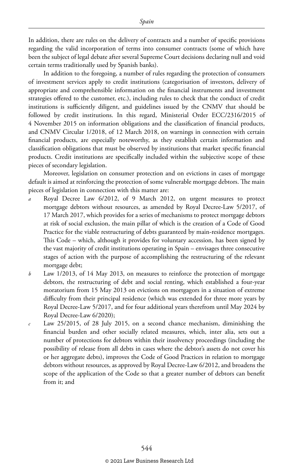In addition, there are rules on the delivery of contracts and a number of specific provisions regarding the valid incorporation of terms into consumer contracts (some of which have been the subject of legal debate after several Supreme Court decisions declaring null and void certain terms traditionally used by Spanish banks).

In addition to the foregoing, a number of rules regarding the protection of consumers of investment services apply to credit institutions (categorisation of investors, delivery of appropriate and comprehensible information on the financial instruments and investment strategies offered to the customer, etc.), including rules to check that the conduct of credit institutions is sufficiently diligent, and guidelines issued by the CNMV that should be followed by credit institutions. In this regard, Ministerial Order ECC/2316/2015 of 4 November 2015 on information obligations and the classification of financial products, and CNMV Circular 1/2018, of 12 March 2018, on warnings in connection with certain financial products, are especially noteworthy, as they establish certain information and classification obligations that must be observed by institutions that market specific financial products. Credit institutions are specifically included within the subjective scope of these pieces of secondary legislation.

Moreover, legislation on consumer protection and on evictions in cases of mortgage default is aimed at reinforcing the protection of some vulnerable mortgage debtors. The main pieces of legislation in connection with this matter are:

- *a* Royal Decree Law 6/2012, of 9 March 2012, on urgent measures to protect mortgage debtors without resources, as amended by Royal Decree-Law 5/2017, of 17 March 2017, which provides for a series of mechanisms to protect mortgage debtors at risk of social exclusion, the main pillar of which is the creation of a Code of Good Practice for the viable restructuring of debts guaranteed by main-residence mortgages. This Code – which, although it provides for voluntary accession, has been signed by the vast majority of credit institutions operating in Spain – envisages three consecutive stages of action with the purpose of accomplishing the restructuring of the relevant mortgage debt;
- *b* Law 1/2013, of 14 May 2013, on measures to reinforce the protection of mortgage debtors, the restructuring of debt and social renting, which established a four-year moratorium from 15 May 2013 on evictions on mortgagors in a situation of extreme difficulty from their principal residence (which was extended for three more years by Royal Decree-Law 5/2017, and for four additional years therefrom until May 2024 by Royal Decree-Law 6/2020);
- *c* Law 25/2015, of 28 July 2015, on a second chance mechanism, diminishing the financial burden and other socially related measures, which, inter alia, sets out a number of protections for debtors within their insolvency proceedings (including the possibility of release from all debts in cases where the debtor's assets do not cover his or her aggregate debts), improves the Code of Good Practices in relation to mortgage debtors without resources, as approved by Royal Decree-Law 6/2012, and broadens the scope of the application of the Code so that a greater number of debtors can benefit from it; and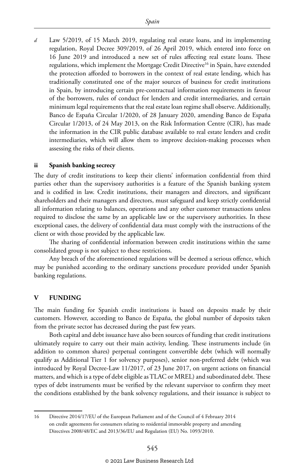*d* Law 5/2019, of 15 March 2019, regulating real estate loans, and its implementing regulation, Royal Decree 309/2019, of 26 April 2019, which entered into force on 16 June 2019 and introduced a new set of rules affecting real estate loans. These regulations, which implement the Mortgage Credit Directive<sup>16</sup> in Spain, have extended the protection afforded to borrowers in the context of real estate lending, which has traditionally constituted one of the major sources of business for credit institutions in Spain, by introducing certain pre-contractual information requirements in favour of the borrowers, rules of conduct for lenders and credit intermediaries, and certain minimum legal requirements that the real estate loan regime shall observe. Additionally, Banco de España Circular 1/2020, of 28 January 2020, amending Banco de España Circular 1/2013, of 24 May 2013, on the Risk Information Centre (CIR), has made the information in the CIR public database available to real estate lenders and credit intermediaries, which will allow them to improve decision-making processes when assessing the risks of their clients.

#### **ii Spanish banking secrecy**

The duty of credit institutions to keep their clients' information confidential from third parties other than the supervisory authorities is a feature of the Spanish banking system and is codified in law. Credit institutions, their managers and directors, and significant shareholders and their managers and directors, must safeguard and keep strictly confidential all information relating to balances, operations and any other customer transactions unless required to disclose the same by an applicable law or the supervisory authorities. In these exceptional cases, the delivery of confidential data must comply with the instructions of the client or with those provided by the applicable law.

The sharing of confidential information between credit institutions within the same consolidated group is not subject to these restrictions.

Any breach of the aforementioned regulations will be deemed a serious offence, which may be punished according to the ordinary sanctions procedure provided under Spanish banking regulations.

#### **V FUNDING**

The main funding for Spanish credit institutions is based on deposits made by their customers. However, according to Banco de España, the global number of deposits taken from the private sector has decreased during the past few years.

Both capital and debt issuance have also been sources of funding that credit institutions ultimately require to carry out their main activity, lending. These instruments include (in addition to common shares) perpetual contingent convertible debt (which will normally qualify as Additional Tier 1 for solvency purposes), senior non-preferred debt (which was introduced by Royal Decree-Law 11/2017, of 23 June 2017, on urgent actions on financial matters, and which is a type of debt eligible as TLAC or MREL) and subordinated debt. These types of debt instruments must be verified by the relevant supervisor to confirm they meet the conditions established by the bank solvency regulations, and their issuance is subject to

<sup>16</sup> Directive 2014/17/EU of the European Parliament and of the Council of 4 February 2014 on credit agreements for consumers relating to residential immovable property and amending Directives 2008/48/EC and 2013/36/EU and Regulation (EU) No. 1093/2010.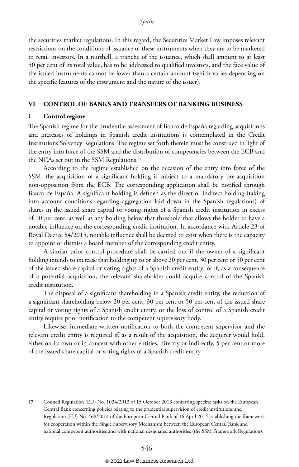the securities market regulations. In this regard, the Securities Market Law imposes relevant restrictions on the conditions of issuance of these instruments when they are to be marketed to retail investors. In a nutshell, a tranche of the issuance, which shall amount to at least 50 per cent of its total value, has to be addressed to qualified investors, and the face value of the issued instruments cannot be lower than a certain amount (which varies depending on the specific features of the instrument and the nature of the issuer).

#### **VI CONTROL OF BANKS AND TRANSFERS OF BANKING BUSINESS**

#### **i Control regime**

The Spanish regime for the prudential assessment of Banco de España regarding acquisitions and increases of holdings in Spanish credit institutions is contemplated in the Credit Institutions Solvency Regulations. The regime set forth therein must be construed in light of the entry into force of the SSM and the distribution of competencies between the ECB and the NCAs set out in the SSM Regulations.<sup>17</sup>

According to the regime established on the occasion of the entry into force of the SSM, the acquisition of a significant holding is subject to a mandatory pre-acquisition non-opposition from the ECB. The corresponding application shall be notified through Banco de España. A significant holding is defined as the direct or indirect holding (taking into account conditions regarding aggregation laid down in the Spanish regulations) of shares in the issued share capital or voting rights of a Spanish credit institution in excess of 10 per cent, as well as any holding below that threshold that allows the holder to have a notable influence on the corresponding credit institution. In accordance with Article 23 of Royal Decree 84/2015, notable influence shall be deemed to exist when there is the capacity to appoint or dismiss a board member of the corresponding credit entity.

A similar prior control procedure shall be carried out if the owner of a significant holding intends to increase that holding up to or above 20 per cent, 30 per cent or 50 per cent of the issued share capital or voting rights of a Spanish credit entity; or if, as a consequence of a potential acquisition, the relevant shareholder could acquire control of the Spanish credit institution.

The disposal of a significant shareholding in a Spanish credit entity, the reduction of a significant shareholding below 20 per cent, 30 per cent or 50 per cent of the issued share capital or voting rights of a Spanish credit entity, or the loss of control of a Spanish credit entity require prior notification to the competent supervisory body.

Likewise, immediate written notification to both the competent supervisor and the relevant credit entity is required if, as a result of the acquisition, the acquirer would hold, either on its own or in concert with other entities, directly or indirectly, 5 per cent or more of the issued share capital or voting rights of a Spanish credit entity.

<sup>17</sup> Council Regulation (EU) No. 1024/2013 of 15 October 2013 conferring specific tasks on the European Central Bank concerning policies relating to the prudential supervision of credit institutions and Regulation (EU) No. 468/2014 of the European Central Bank of 16 April 2014 establishing the framework for cooperation within the Single Supervisory Mechanism between the European Central Bank and national competent authorities and with national designated authorities (the SSM Framework Regulation).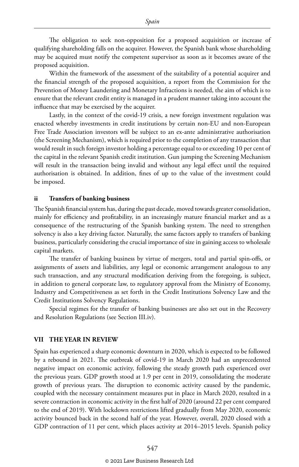The obligation to seek non-opposition for a proposed acquisition or increase of qualifying shareholding falls on the acquirer. However, the Spanish bank whose shareholding may be acquired must notify the competent supervisor as soon as it becomes aware of the proposed acquisition.

Within the framework of the assessment of the suitability of a potential acquirer and the financial strength of the proposed acquisition, a report from the Commission for the Prevention of Money Laundering and Monetary Infractions is needed, the aim of which is to ensure that the relevant credit entity is managed in a prudent manner taking into account the influence that may be exercised by the acquirer.

Lastly, in the context of the covid-19 crisis, a new foreign investment regulation was enacted whereby investments in credit institutions by certain non-EU and non-European Free Trade Association investors will be subject to an ex-ante administrative authorisation (the Screening Mechanism), which is required prior to the completion of any transaction that would result in such foreign investor holding a percentage equal to or exceeding 10 per cent of the capital in the relevant Spanish credit institution. Gun jumping the Screening Mechanism will result in the transaction being invalid and without any legal effect until the required authorisation is obtained. In addition, fines of up to the value of the investment could be imposed.

#### **ii Transfers of banking business**

The Spanish financial system has, during the past decade, moved towards greater consolidation, mainly for efficiency and profitability, in an increasingly mature financial market and as a consequence of the restructuring of the Spanish banking system. The need to strengthen solvency is also a key driving factor. Naturally, the same factors apply to transfers of banking business, particularly considering the crucial importance of size in gaining access to wholesale capital markets.

The transfer of banking business by virtue of mergers, total and partial spin-offs, or assignments of assets and liabilities, any legal or economic arrangement analogous to any such transaction, and any structural modification deriving from the foregoing, is subject, in addition to general corporate law, to regulatory approval from the Ministry of Economy, Industry and Competitiveness as set forth in the Credit Institutions Solvency Law and the Credit Institutions Solvency Regulations.

Special regimes for the transfer of banking businesses are also set out in the Recovery and Resolution Regulations (see Section III.iv).

#### **VII THE YEAR IN REVIEW**

Spain has experienced a sharp economic downturn in 2020, which is expected to be followed by a rebound in 2021. The outbreak of covid-19 in March 2020 had an unprecedented negative impact on economic activity, following the steady growth path experienced over the previous years. GDP growth stood at 1.9 per cent in 2019, consolidating the moderate growth of previous years. The disruption to economic activity caused by the pandemic, coupled with the necessary containment measures put in place in March 2020, resulted in a severe contraction in economic activity in the first half of 2020 (around 22 per cent compared to the end of 2019). With lockdown restrictions lifted gradually from May 2020, economic activity bounced back in the second half of the year. However, overall, 2020 closed with a GDP contraction of 11 per cent, which places activity at 2014–2015 levels. Spanish policy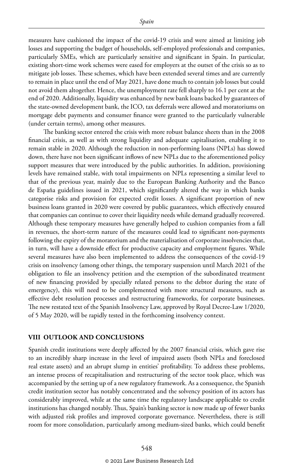measures have cushioned the impact of the covid-19 crisis and were aimed at limiting job losses and supporting the budget of households, self-employed professionals and companies, particularly SMEs, which are particularly sensitive and significant in Spain. In particular, existing short-time work schemes were eased for employers at the outset of the crisis so as to mitigate job losses. These schemes, which have been extended several times and are currently to remain in place until the end of May 2021, have done much to contain job losses but could not avoid them altogether. Hence, the unemployment rate fell sharply to 16.1 per cent at the end of 2020. Additionally, liquidity was enhanced by new bank loans backed by guarantees of the state-owned development bank, the ICO, tax deferrals were allowed and moratoriums on mortgage debt payments and consumer finance were granted to the particularly vulnerable (under certain terms), among other measures.

The banking sector entered the crisis with more robust balance sheets than in the 2008 financial crisis, as well as with strong liquidity and adequate capitalisation, enabling it to remain stable in 2020. Although the reduction in non-performing loans (NPLs) has slowed down, there have not been significant inflows of new NPLs due to the aforementioned policy support measures that were introduced by the public authorities. In addition, provisioning levels have remained stable, with total impairments on NPLs representing a similar level to that of the previous year, mainly due to the European Banking Authority and the Banco de España guidelines issued in 2021, which significantly altered the way in which banks categorise risks and provision for expected credit losses. A significant proportion of new business loans granted in 2020 were covered by public guarantees, which effectively ensured that companies can continue to cover their liquidity needs while demand gradually recovered. Although these temporary measures have generally helped to cushion companies from a fall in revenues, the short-term nature of the measures could lead to significant non-payments following the expiry of the moratorium and the materialisation of corporate insolvencies that, in turn, will have a downside effect for productive capacity and employment figures. While several measures have also been implemented to address the consequences of the covid-19 crisis on insolvency (among other things, the temporary suspension until March 2021 of the obligation to file an insolvency petition and the exemption of the subordinated treatment of new financing provided by specially related persons to the debtor during the state of emergency), this will need to be complemented with more structural measures, such as effective debt resolution processes and restructuring frameworks, for corporate businesses. The new restated text of the Spanish Insolvency Law, approved by Royal Decree-Law 1/2020, of 5 May 2020, will be rapidly tested in the forthcoming insolvency context.

#### **VIII OUTLOOK AND CONCLUSIONS**

Spanish credit institutions were deeply affected by the 2007 financial crisis, which gave rise to an incredibly sharp increase in the level of impaired assets (both NPLs and foreclosed real estate assets) and an abrupt slump in entities' profitability. To address these problems, an intense process of recapitalisation and restructuring of the sector took place, which was accompanied by the setting up of a new regulatory framework. As a consequence, the Spanish credit institution sector has notably concentrated and the solvency position of its actors has considerably improved, while at the same time the regulatory landscape applicable to credit institutions has changed notably. Thus, Spain's banking sector is now made up of fewer banks with adjusted risk profiles and improved corporate governance. Nevertheless, there is still room for more consolidation, particularly among medium-sized banks, which could benefit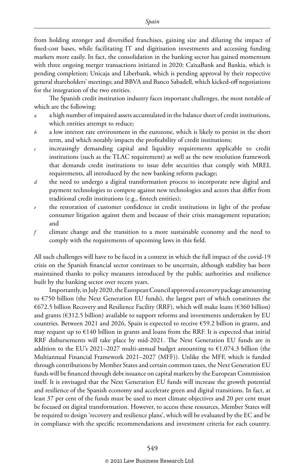from holding stronger and diversified franchises, gaining size and diluting the impact of fixed-cost bases, while facilitating IT and digitisation investments and accessing funding markets more easily. In fact, the consolidation in the banking sector has gained momentum with three ongoing merger transactions initiated in 2020: CaixaBank and Bankia, which is pending completion; Unicaja and Liberbank, which is pending approval by their respective general shareholders' meetings; and BBVA and Banco Sabadell, which kicked-off negotiations for the integration of the two entities.

The Spanish credit institution industry faces important challenges, the most notable of which are the following:

- *a* a high number of impaired assets accumulated in the balance sheet of credit institutions, which entities attempt to reduce;
- *b* a low interest rate environment in the eurozone, which is likely to persist in the short term, and which notably impacts the profitability of credit institutions;
- *c* increasingly demanding capital and liquidity requirements applicable to credit institutions (such as the TLAC requirement) as well as the new resolution framework that demands credit institutions to issue debt securities that comply with MREL requirements, all introduced by the new banking reform package;
- *d* the need to undergo a digital transformation process to incorporate new digital and payment technologies to compete against new technologies and actors that differ from traditional credit institutions (e.g., fintech entities);
- the restoration of customer confidence in credit institutions in light of the profuse consumer litigation against them and because of their crisis management reputation; and
- *f* climate change and the transition to a more sustainable economy and the need to comply with the requirements of upcoming laws in this field.

All such challenges will have to be faced in a context in which the full impact of the covid-19 crisis on the Spanish financial sector continues to be uncertain, although stability has been maintained thanks to policy measures introduced by the public authorities and resilience built by the banking sector over recent years.

Importantly, in July 2020, the European Council approved a recovery package amounting to  $\epsilon$ 750 billion (the Next Generation EU funds), the largest part of which constitutes the €672.5 billion Recovery and Resilience Facility (RRF), which will make loans (€360 billion) and grants (€312.5 billion) available to support reforms and investments undertaken by EU countries. Between 2021 and 2026, Spain is expected to receive €59.2 billion in grants, and may request up to  $E$ 140 billion in grants and loans from the RRF. It is expected that initial RRF disbursements will take place by mid-2021. The Next Generation EU funds are in addition to the EU's 2021-2027 multi-annual budget amounting to  $€1,074.3$  billion (the Multiannual Financial Framework 2021–2027 (MFF)). Unlike the MFF, which is funded through contributions by Member States and certain common taxes, the Next Generation EU funds will be financed through debt issuance on capital markets by the European Commission itself. It is envisaged that the Next Generation EU funds will increase the growth potential and resilience of the Spanish economy and accelerate green and digital transitions. In fact, at least 37 per cent of the funds must be used to meet climate objectives and 20 per cent must be focused on digital transformation. However, to access these resources, Member States will be required to design 'recovery and resilience plans', which will be evaluated by the EC and be in compliance with the specific recommendations and investment criteria for each country.

#### © 2021 Law Business Research Ltd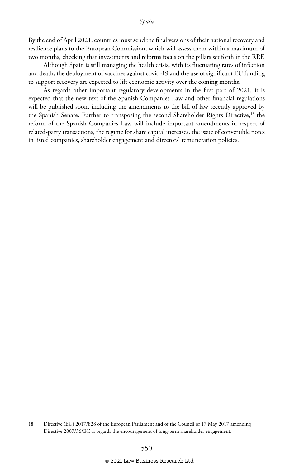By the end of April 2021, countries must send the final versions of their national recovery and resilience plans to the European Commission, which will assess them within a maximum of two months, checking that investments and reforms focus on the pillars set forth in the RRF.

Although Spain is still managing the health crisis, with its fluctuating rates of infection and death, the deployment of vaccines against covid-19 and the use of significant EU funding to support recovery are expected to lift economic activity over the coming months.

As regards other important regulatory developments in the first part of 2021, it is expected that the new text of the Spanish Companies Law and other financial regulations will be published soon, including the amendments to the bill of law recently approved by the Spanish Senate. Further to transposing the second Shareholder Rights Directive,<sup>18</sup> the reform of the Spanish Companies Law will include important amendments in respect of related-party transactions, the regime for share capital increases, the issue of convertible notes in listed companies, shareholder engagement and directors' remuneration policies.

<sup>18</sup> Directive (EU) 2017/828 of the European Parliament and of the Council of 17 May 2017 amending Directive 2007/36/EC as regards the encouragement of long-term shareholder engagement.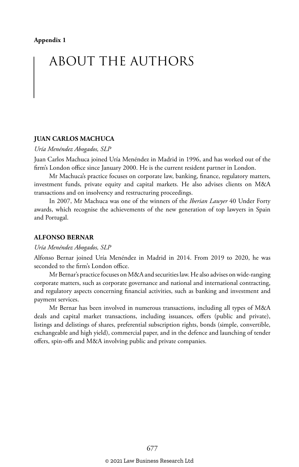# ABOUT THE AUTHORS

#### **JUAN CARLOS MACHUCA**

#### *Uría Menéndez Abogados, SLP*

Juan Carlos Machuca joined Uría Menéndez in Madrid in 1996, and has worked out of the firm's London office since January 2000. He is the current resident partner in London.

Mr Machuca's practice focuses on corporate law, banking, finance, regulatory matters, investment funds, private equity and capital markets. He also advises clients on M&A transactions and on insolvency and restructuring proceedings.

In 2007, Mr Machuca was one of the winners of the *Iberian Lawyer* 40 Under Forty awards, which recognise the achievements of the new generation of top lawyers in Spain and Portugal.

#### **ALFONSO BERNAR**

#### *Uría Menéndez Abogados, SLP*

Alfonso Bernar joined Uría Menéndez in Madrid in 2014. From 2019 to 2020, he was seconded to the firm's London office.

Mr Bernar's practice focuses on M&A and securities law. He also advises on wide-ranging corporate matters, such as corporate governance and national and international contracting, and regulatory aspects concerning financial activities, such as banking and investment and payment services.

Mr Bernar has been involved in numerous transactions, including all types of M&A deals and capital market transactions, including issuances, offers (public and private), listings and delistings of shares, preferential subscription rights, bonds (simple, convertible, exchangeable and high yield), commercial paper, and in the defence and launching of tender offers, spin-offs and M&A involving public and private companies.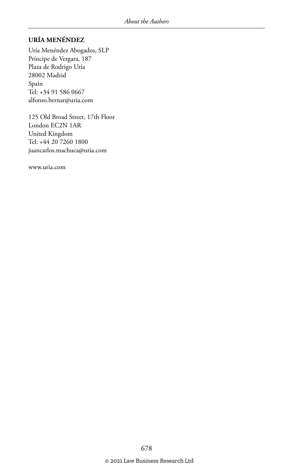#### **URÍA MENÉNDEZ**

Uría Menéndez Abogados, SLP Príncipe de Vergara, 187 Plaza de Rodrigo Uría 28002 Madrid Spain Tel: +34 91 586 0667 alfonso.bernar@uria.com

125 Old Broad Street, 17th Floor London EC2N 1AR United Kingdom Tel: +44 20 7260 1800 juancarlos.machuca@uria.com

www.uria.com